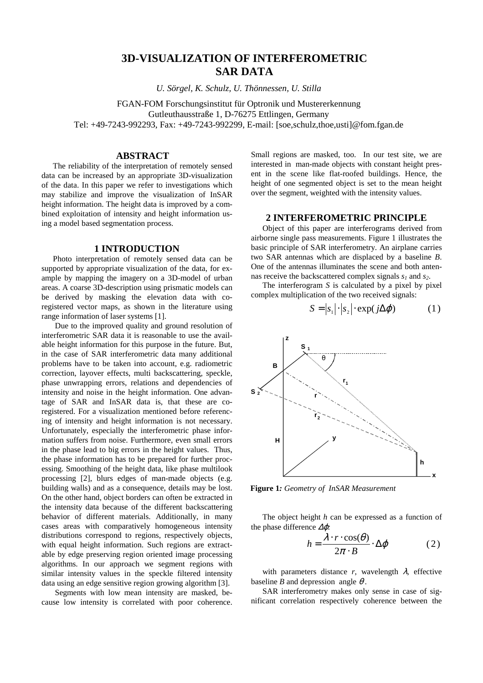# **3D-VISUALIZATION OF INTERFEROMETRIC SAR DATA**

*U. Sörgel, K. Schulz, U. Thönnessen, U. Stilla*

FGAN-FOM Forschungsinstitut für Optronik und Mustererkennung Gutleuthausstraße 1, D-76275 Ettlingen, Germany Tel: +49-7243-992293, Fax: +49-7243-992299, E-mail: [soe,schulz,thoe,usti]@fom.fgan.de

## **ABSTRACT**

The reliability of the interpretation of remotely sensed data can be increased by an appropriate 3D-visualization of the data. In this paper we refer to investigations which may stabilize and improve the visualization of InSAR height information. The height data is improved by a combined exploitation of intensity and height information using a model based segmentation process.

## **1 INTRODUCTION**

Photo interpretation of remotely sensed data can be supported by appropriate visualization of the data, for example by mapping the imagery on a 3D-model of urban areas. A coarse 3D-description using prismatic models can be derived by masking the elevation data with coregistered vector maps, as shown in the literature using range information of laser systems [1].

Due to the improved quality and ground resolution of interferometric SAR data it is reasonable to use the available height information for this purpose in the future. But, in the case of SAR interferometric data many additional problems have to be taken into account, e.g. radiometric correction, layover effects, multi backscattering, speckle, phase unwrapping errors, relations and dependencies of intensity and noise in the height information. One advantage of SAR and InSAR data is, that these are coregistered. For a visualization mentioned before referencing of intensity and height information is not necessary. Unfortunately, especially the interferometric phase information suffers from noise. Furthermore, even small errors in the phase lead to big errors in the height values. Thus, the phase information has to be prepared for further processing. Smoothing of the height data, like phase multilook processing [2], blurs edges of man-made objects (e.g. building walls) and as a consequence, details may be lost. On the other hand, object borders can often be extracted in the intensity data because of the different backscattering behavior of different materials. Additionally, in many cases areas with comparatively homogeneous intensity distributions correspond to regions, respectively objects, with equal height information. Such regions are extractable by edge preserving region oriented image processing algorithms. In our approach we segment regions with similar intensity values in the speckle filtered intensity data using an edge sensitive region growing algorithm [3].

Segments with low mean intensity are masked, because low intensity is correlated with poor coherence.

Small regions are masked, too. In our test site, we are interested in man-made objects with constant height present in the scene like flat-roofed buildings. Hence, the height of one segmented object is set to the mean height over the segment, weighted with the intensity values.

## **2 INTERFEROMETRIC PRINCIPLE**

Object of this paper are interferograms derived from airborne single pass measurements. Figure 1 illustrates the basic principle of SAR interferometry. An airplane carries two SAR antennas which are displaced by a baseline *B*. One of the antennas illuminates the scene and both antennas receive the backscattered complex signals  $s<sub>1</sub>$  and  $s<sub>2</sub>$ .

The interferogram *S* is calculated by a pixel by pixel complex multiplication of the two received signals:

$$
S = |s_1| \cdot |s_2| \cdot \exp(j\Delta\varphi)
$$
 (1)



**Figure 1***: Geometry of InSAR Measurement*

The object height *h* can be expressed as a function of the phase difference ∆ϕ*:*

$$
h = \frac{\lambda \cdot r \cdot \cos(\theta)}{2\pi \cdot B} \cdot \Delta \varphi \tag{2}
$$

with parameters distance  $r$ , wavelength  $\lambda$ , effective baseline *B* and depression angle  $\theta$ .

SAR interferometry makes only sense in case of significant correlation respectively coherence between the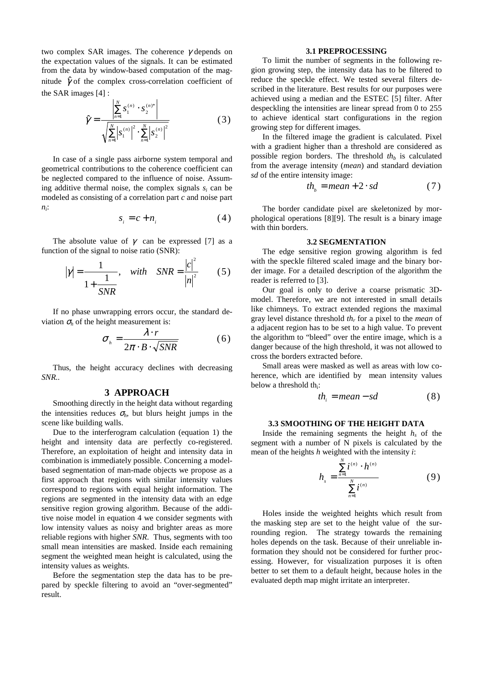two complex SAR images. The coherence  $\gamma$  depends on the expectation values of the signals. It can be estimated from the data by window-based computation of the magnitude  $\hat{\gamma}$  of the complex cross-correlation coefficient of the SAR images [4] :

$$
\hat{\gamma} = \frac{\left| \sum_{n=1}^{N} S_1^{(n)} \cdot S_2^{(n)*} \right|}{\sqrt{\sum_{n=1}^{N} \left| S_1^{(n)} \right|^2 \cdot \sum_{n=1}^{N} \left| S_2^{(n)} \right|^2}}
$$
(3)

In case of a single pass airborne system temporal and geometrical contributions to the coherence coefficient can be neglected compared to the influence of noise. Assuming additive thermal noise, the complex signals  $s_i$  can be modeled as consisting of a correlation part *c* and noise part *ni* :

$$
s_i = c + n_i \tag{4}
$$

The absolute value of  $\gamma$  can be expressed [7] as a function of the signal to noise ratio (SNR):

$$
|\gamma| = \frac{1}{1 + \frac{1}{SNR}}
$$
, with  $SNR = \frac{|c|^2}{|n|^2}$  (5)

If no phase unwrapping errors occur, the standard deviation  $\sigma_h$  of the height measurement is:

$$
\sigma_{h} = \frac{\lambda \cdot r}{2\pi \cdot B \cdot \sqrt{SNR}}
$$
 (6)

Thus, the height accuracy declines with decreasing *SNR..*

## **3 APPROACH**

Smoothing directly in the height data without regarding the intensities reduces  $\sigma_h$ , but blurs height jumps in the scene like building walls.

Due to the interferogram calculation (equation 1) the height and intensity data are perfectly co-registered. Therefore, an exploitation of height and intensity data in combination is immediately possible. Concerning a modelbased segmentation of man-made objects we propose as a first approach that regions with similar intensity values correspond to regions with equal height information. The regions are segmented in the intensity data with an edge sensitive region growing algorithm. Because of the additive noise model in equation 4 we consider segments with low intensity values as noisy and brighter areas as more reliable regions with higher *SNR*. Thus, segments with too small mean intensities are masked. Inside each remaining segment the weighted mean height is calculated, using the intensity values as weights.

Before the segmentation step the data has to be prepared by speckle filtering to avoid an "over-segmented" result.

## **3.1 PREPROCESSING**

To limit the number of segments in the following region growing step, the intensity data has to be filtered to reduce the speckle effect. We tested several filters described in the literature. Best results for our purposes were achieved using a median and the ESTEC [5] filter. After despeckling the intensities are linear spread from 0 to 255 to achieve identical start configurations in the region growing step for different images.

In the filtered image the gradient is calculated. Pixel with a gradient higher than a threshold are considered as possible region borders. The threshold *th<sup>b</sup>* is calculated from the average intensity (*mean*) and standard deviation *sd* of the entire intensity image:

$$
th_b = mean + 2 \cdot sd \tag{7}
$$

The border candidate pixel are skeletonized by morphological operations [8][9]. The result is a binary image with thin borders.

#### **3.2 SEGMENTATION**

The edge sensitive region growing algorithm is fed with the speckle filtered scaled image and the binary border image. For a detailed description of the algorithm the reader is referred to [3].

Our goal is only to derive a coarse prismatic 3Dmodel. Therefore, we are not interested in small details like chimneys. To extract extended regions the maximal gray level distance threshold *th<sup>r</sup>* for a pixel to the *mean* of a adjacent region has to be set to a high value. To prevent the algorithm to "bleed" over the entire image, which is a danger because of the high threshold, it was not allowed to cross the borders extracted before.

Small areas were masked as well as areas with low coherence, which are identified by mean intensity values below a threshold th<sub>i</sub>:

$$
th_i = mean - sd \tag{8}
$$

## **3.3 SMOOTHING OF THE HEIGHT DATA**

Inside the remaining segments the height *h<sup>s</sup>* of the segment with a number of N pixels is calculated by the mean of the heights *h* weighted with the intensity *i*:

$$
h_{s} = \frac{\sum_{n=1}^{N} i^{(n)} \cdot h^{(n)}}{\sum_{n=1}^{N} i^{(n)}}
$$
 (9)

Holes inside the weighted heights which result from the masking step are set to the height value of the surrounding region. The strategy towards the remaining holes depends on the task. Because of their unreliable information they should not be considered for further processing. However, for visualization purposes it is often better to set them to a default height, because holes in the evaluated depth map might irritate an interpreter.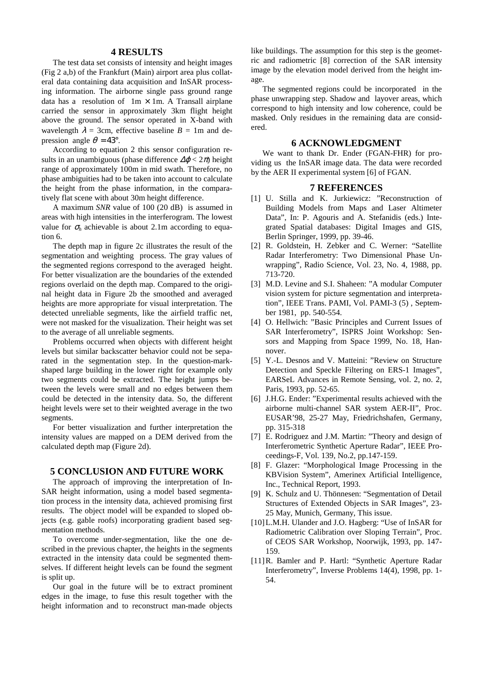## **4 RESULTS**

The test data set consists of intensity and height images (Fig 2 a,b) of the Frankfurt (Main) airport area plus collateral data containing data acquisition and InSAR processing information. The airborne single pass ground range data has a resolution of  $1m \times 1m$ . A Transall airplane carried the sensor in approximately 3km flight height above the ground. The sensor operated in X-band with wavelength  $\lambda = 3$ cm, effective baseline  $B = 1$ m and depression angle  $\theta = 43^{\circ}$ .

According to equation 2 this sensor configuration results in an unambiguous (phase difference  $\Delta\varphi < 2\pi$ ) height range of approximately 100m in mid swath. Therefore, no phase ambiguities had to be taken into account to calculate the height from the phase information, in the comparatively flat scene with about 30m height difference.

A maximum *SNR* value of 100 (20 dB) is assumed in areas with high intensities in the interferogram. The lowest value for  $\sigma_h$  achievable is about 2.1m according to equation 6.

The depth map in figure 2c illustrates the result of the segmentation and weighting process. The gray values of the segmented regions correspond to the averaged height. For better visualization are the boundaries of the extended regions overlaid on the depth map. Compared to the original height data in Figure 2b the smoothed and averaged heights are more appropriate for visual interpretation. The detected unreliable segments, like the airfield traffic net, were not masked for the visualization. Their height was set to the average of all unreliable segments.

Problems occurred when objects with different height levels but similar backscatter behavior could not be separated in the segmentation step. In the question-markshaped large building in the lower right for example only two segments could be extracted. The height jumps between the levels were small and no edges between them could be detected in the intensity data. So, the different height levels were set to their weighted average in the two segments.

For better visualization and further interpretation the intensity values are mapped on a DEM derived from the calculated depth map (Figure 2d).

#### **5 CONCLUSION AND FUTURE WORK**

The approach of improving the interpretation of In-SAR height information, using a model based segmentation process in the intensity data, achieved promising first results. The object model will be expanded to sloped objects (e.g. gable roofs) incorporating gradient based segmentation methods.

To overcome under-segmentation, like the one described in the previous chapter, the heights in the segments extracted in the intensity data could be segmented themselves. If different height levels can be found the segment is split up.

Our goal in the future will be to extract prominent edges in the image, to fuse this result together with the height information and to reconstruct man-made objects like buildings. The assumption for this step is the geometric and radiometric [8] correction of the SAR intensity image by the elevation model derived from the height image.

The segmented regions could be incorporated in the phase unwrapping step. Shadow and layover areas, which correspond to high intensity and low coherence, could be masked. Only residues in the remaining data are considered.

#### **6 ACKNOWLEDGMENT**

We want to thank Dr. Ender (FGAN-FHR) for providing us the InSAR image data. The data were recorded by the AER II experimental system [6] of FGAN.

#### **7 REFERENCES**

- [1] U. Stilla and K. Jurkiewicz: "Reconstruction of Building Models from Maps and Laser Altimeter Data", In: P. Agouris and A. Stefanidis (eds.) Integrated Spatial databases: Digital Images and GIS, Berlin Springer, 1999, pp. 39-46.
- [2] R. Goldstein, H. Zebker and C. Werner: "Satellite Radar Interferometry: Two Dimensional Phase Unwrapping", Radio Science, Vol. 23, No. 4, 1988, pp. 713-720.
- [3] M.D. Levine and S.I. Shaheen: "A modular Computer vision system for picture segmentation and interpretation", IEEE Trans. PAMI, Vol. PAMI-3 (5) , September 1981, pp. 540-554.
- [4] O. Hellwich: "Basic Principles and Current Issues of SAR Interferometry", ISPRS Joint Workshop: Sensors and Mapping from Space 1999, No. 18, Hannover.
- [5] Y.-L. Desnos and V. Matteini: "Review on Structure Detection and Speckle Filtering on ERS-1 Images", EARSeL Advances in Remote Sensing, vol. 2, no. 2, Paris, 1993, pp. 52-65.
- [6] J.H.G. Ender: "Experimental results achieved with the airborne multi-channel SAR system AER-II", Proc. EUSAR'98, 25-27 May, Friedrichshafen, Germany, pp. 315-318
- [7] E. Rodriguez and J.M. Martin: "Theory and design of Interferometric Synthetic Aperture Radar", IEEE Proceedings-F, Vol. 139, No.2, pp.147-159.
- [8] F. Glazer: "Morphological Image Processing in the KBVision System", Amerinex Artificial Intelligence, Inc., Technical Report, 1993.
- [9] K. Schulz and U. Thönnesen: "Segmentation of Detail Structures of Extended Objects in SAR Images", 23- 25 May, Munich, Germany, This issue.
- [10]L.M.H. Ulander and J.O. Hagberg: "Use of InSAR for Radiometric Calibration over Sloping Terrain", Proc. of CEOS SAR Workshop, Noorwijk, 1993, pp. 147- 159.
- [11]R. Bamler and P. Hartl: "Synthetic Aperture Radar Interferometry", Inverse Problems 14(4), 1998, pp. 1- 54.